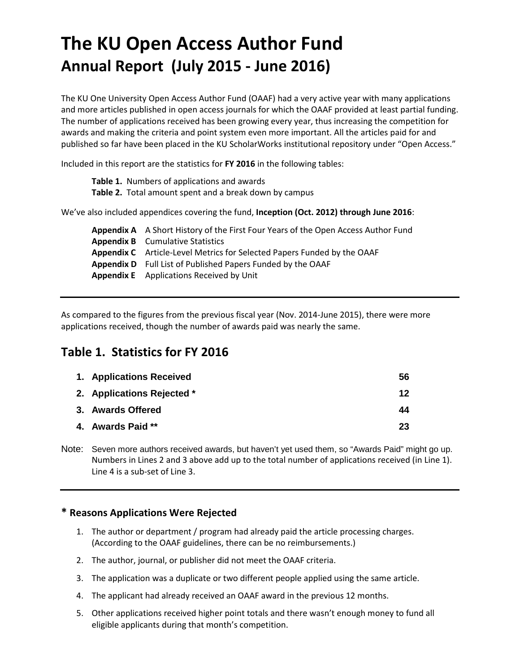# **The KU Open Access Author Fund Annual Report (July 2015 - June 2016)**

The KU One University Open Access Author Fund (OAAF) had a very active year with many applications and more articles published in open access journals for which the OAAF provided at least partial funding. The number of applications received has been growing every year, thus increasing the competition for awards and making the criteria and point system even more important. All the articles paid for and published so far have been placed in the KU ScholarWorks institutional repository under "Open Access."

Included in this report are the statistics for **FY 2016** in the following tables:

| <b>Table 1.</b> Numbers of applications and awards                                         |
|--------------------------------------------------------------------------------------------|
| Table 2. Total amount spent and a break down by campus                                     |
| We've also included appendices covering the fund, Inception (Oct. 2012) through June 2016: |
| <b>Annendix A</b> A Short History of the First Four Years of the Open Access Author Fund   |

**Appendix A** A Short History of the First Four Years of the Open Access Author Fund **Appendix B** Cumulative Statistics **Appendix C** Article-Level Metrics for Selected Papers Funded by the OAAF **Appendix D** Full List of Published Papers Funded by the OAAF **Appendix E** Applications Received by Unit

As compared to the figures from the previous fiscal year (Nov. 2014-June 2015), there were more applications received, though the number of awards paid was nearly the same.

## **Table 1. Statistics for FY 2016**

| 1. Applications Received   | 56 |
|----------------------------|----|
| 2. Applications Rejected * | 12 |
| 3. Awards Offered          | 44 |
| 4. Awards Paid **          | 23 |

Note: Seven more authors received awards, but haven't yet used them, so "Awards Paid" might go up. Numbers in Lines 2 and 3 above add up to the total number of applications received (in Line 1). Line 4 is a sub-set of Line 3.

#### **\* Reasons Applications Were Rejected**

- 1. The author or department / program had already paid the article processing charges. (According to the OAAF guidelines, there can be no reimbursements.)
- 2. The author, journal, or publisher did not meet the OAAF criteria.
- 3. The application was a duplicate or two different people applied using the same article.
- 4. The applicant had already received an OAAF award in the previous 12 months.
- 5. Other applications received higher point totals and there wasn't enough money to fund all eligible applicants during that month's competition.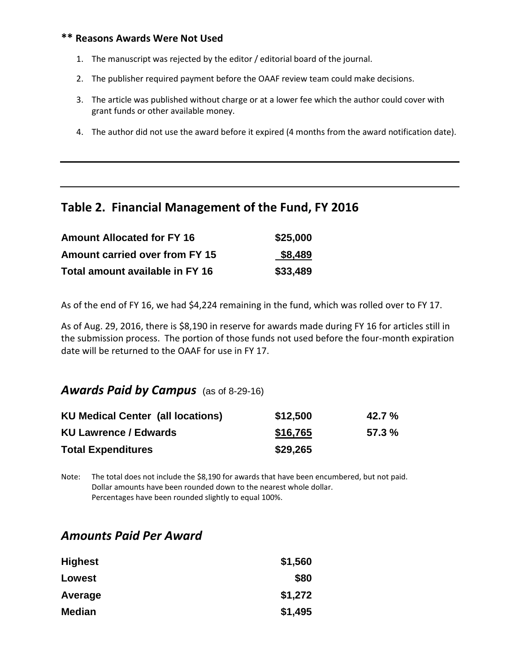#### **\*\* Reasons Awards Were Not Used**

- 1. The manuscript was rejected by the editor / editorial board of the journal.
- 2. The publisher required payment before the OAAF review team could make decisions.
- 3. The article was published without charge or at a lower fee which the author could cover with grant funds or other available money.
- 4. The author did not use the award before it expired (4 months from the award notification date).

### **Table 2. Financial Management of the Fund, FY 2016**

| <b>Amount Allocated for FY 16</b>     | \$25,000 |
|---------------------------------------|----------|
| <b>Amount carried over from FY 15</b> | \$8,489  |
| Total amount available in FY 16       | \$33,489 |

As of the end of FY 16, we had \$4,224 remaining in the fund, which was rolled over to FY 17.

As of Aug. 29, 2016, there is \$8,190 in reserve for awards made during FY 16 for articles still in the submission process. The portion of those funds not used before the four-month expiration date will be returned to the OAAF for use in FY 17.

### *Awards Paid by Campus* (as of 8-29-16)

| <b>KU Medical Center (all locations)</b> | \$12,500 | $42.7 \%$ |
|------------------------------------------|----------|-----------|
| <b>KU Lawrence / Edwards</b>             | \$16,765 | $57.3 \%$ |
| <b>Total Expenditures</b>                | \$29,265 |           |

Note: The total does not include the \$8,190 for awards that have been encumbered, but not paid. Dollar amounts have been rounded down to the nearest whole dollar. Percentages have been rounded slightly to equal 100%.

### *Amounts Paid Per Award*

| <b>Highest</b> | \$1,560 |
|----------------|---------|
| Lowest         | \$80    |
| Average        | \$1,272 |
| <b>Median</b>  | \$1,495 |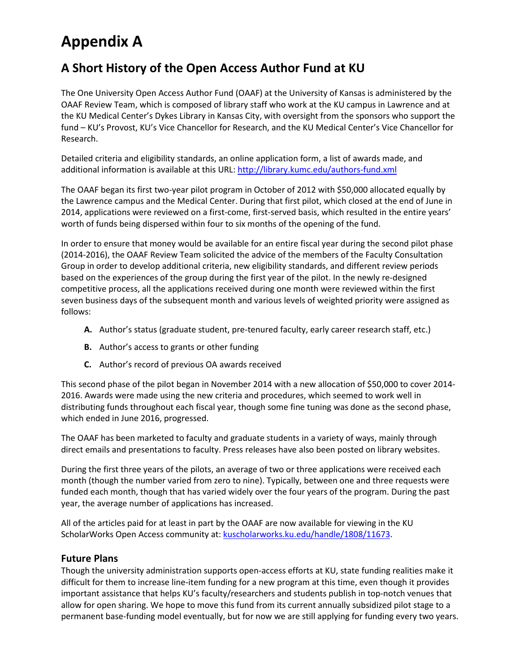# **Appendix A**

## **A Short History of the Open Access Author Fund at KU**

The One University Open Access Author Fund (OAAF) at the University of Kansas is administered by the OAAF Review Team, which is composed of library staff who work at the KU campus in Lawrence and at the KU Medical Center's Dykes Library in Kansas City, with oversight from the sponsors who support the fund – KU's Provost, KU's Vice Chancellor for Research, and the KU Medical Center's Vice Chancellor for Research.

Detailed criteria and eligibility standards, an online application form, a list of awards made, and additional information is available at this URL: <http://library.kumc.edu/authors-fund.xml>

The OAAF began its first two-year pilot program in October of 2012 with \$50,000 allocated equally by the Lawrence campus and the Medical Center. During that first pilot, which closed at the end of June in 2014, applications were reviewed on a first-come, first-served basis, which resulted in the entire years' worth of funds being dispersed within four to six months of the opening of the fund.

In order to ensure that money would be available for an entire fiscal year during the second pilot phase (2014-2016), the OAAF Review Team solicited the advice of the members of the Faculty Consultation Group in order to develop additional criteria, new eligibility standards, and different review periods based on the experiences of the group during the first year of the pilot. In the newly re-designed competitive process, all the applications received during one month were reviewed within the first seven business days of the subsequent month and various levels of weighted priority were assigned as follows:

- **A.** Author's status (graduate student, pre-tenured faculty, early career research staff, etc.)
- **B.** Author's access to grants or other funding
- **C.** Author's record of previous OA awards received

This second phase of the pilot began in November 2014 with a new allocation of \$50,000 to cover 2014- 2016. Awards were made using the new criteria and procedures, which seemed to work well in distributing funds throughout each fiscal year, though some fine tuning was done as the second phase, which ended in June 2016, progressed.

The OAAF has been marketed to faculty and graduate students in a variety of ways, mainly through direct emails and presentations to faculty. Press releases have also been posted on library websites.

During the first three years of the pilots, an average of two or three applications were received each month (though the number varied from zero to nine). Typically, between one and three requests were funded each month, though that has varied widely over the four years of the program. During the past year, the average number of applications has increased.

All of the articles paid for at least in part by the OAAF are now available for viewing in the KU ScholarWorks Open Access community at: [kuscholarworks.ku.edu/handle/1808/11673.](http://kuscholarworks.ku.edu/handle/1808/11673)

#### **Future Plans**

Though the university administration supports open-access efforts at KU, state funding realities make it difficult for them to increase line-item funding for a new program at this time, even though it provides important assistance that helps KU's faculty/researchers and students publish in top-notch venues that allow for open sharing. We hope to move this fund from its current annually subsidized pilot stage to a permanent base-funding model eventually, but for now we are still applying for funding every two years.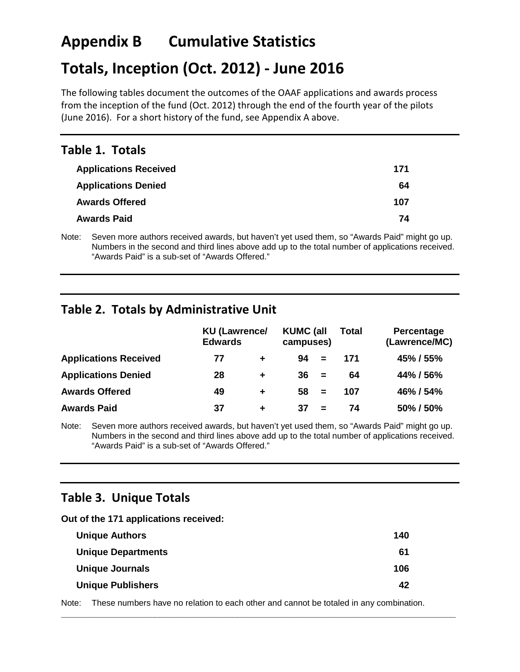# **Appendix B Cumulative Statistics**

# **Totals, Inception (Oct. 2012) - June 2016**

The following tables document the outcomes of the OAAF applications and awards process from the inception of the fund (Oct. 2012) through the end of the fourth year of the pilots (June 2016). For a short history of the fund, see Appendix A above.

### **Table 1. Totals**

| <b>Applications Received</b> | 171 |
|------------------------------|-----|
| <b>Applications Denied</b>   | 64  |
| <b>Awards Offered</b>        | 107 |
| <b>Awards Paid</b>           | 74  |
|                              |     |

Note: Seven more authors received awards, but haven't yet used them, so "Awards Paid" might go up. Numbers in the second and third lines above add up to the total number of applications received. "Awards Paid" is a sub-set of "Awards Offered."

## **Table 2. Totals by Administrative Unit**

|                              | <b>Edwards</b> | <b>KU (Lawrence/</b> |    |          | <b>Total</b> | Percentage<br>(Lawrence/MC) |  |
|------------------------------|----------------|----------------------|----|----------|--------------|-----------------------------|--|
| <b>Applications Received</b> | 77             | ÷                    | 94 | $=$      | 171          | 45% / 55%                   |  |
| <b>Applications Denied</b>   | 28             | ÷                    | 36 | $=$      | 64           | 44% / 56%                   |  |
| <b>Awards Offered</b>        | 49             | ÷                    | 58 | $\equiv$ | 107          | 46% / 54%                   |  |
| <b>Awards Paid</b>           | 37             | ÷                    | 37 | $\equiv$ | 74           | 50% / 50%                   |  |

Note: Seven more authors received awards, but haven't yet used them, so "Awards Paid" might go up. Numbers in the second and third lines above add up to the total number of applications received. "Awards Paid" is a sub-set of "Awards Offered."

### **Table 3. Unique Totals**

**Out of the 171 applications received:**

| 140 |
|-----|
| 61  |
| 106 |
| 42  |
|     |

Note: These numbers have no relation to each other and cannot be totaled in any combination.

**\_\_\_\_\_\_\_\_\_\_\_\_\_\_\_\_\_\_\_\_\_\_\_\_\_\_\_\_\_\_\_\_\_\_\_\_\_\_\_\_\_\_\_\_\_\_\_\_\_\_\_\_\_\_\_\_\_\_\_\_\_\_\_\_\_\_\_\_\_\_\_\_\_\_\_\_**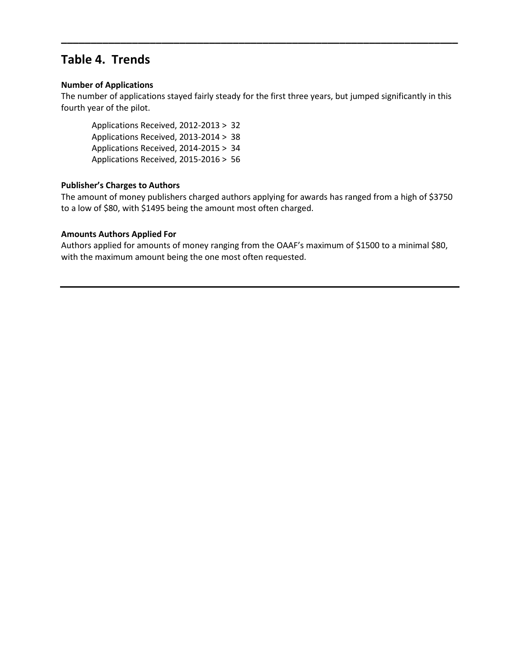## **Table 4. Trends**

#### **Number of Applications**

The number of applications stayed fairly steady for the first three years, but jumped significantly in this fourth year of the pilot.

**\_\_\_\_\_\_\_\_\_\_\_\_\_\_\_\_\_\_\_\_\_\_\_\_\_\_\_\_\_\_\_\_\_\_\_\_\_\_\_\_\_\_\_\_\_\_\_\_\_\_\_\_\_\_\_\_\_\_\_\_\_\_\_\_\_\_\_**

Applications Received, 2012-2013 > 32 Applications Received, 2013-2014 > 38 Applications Received, 2014-2015 > 34 Applications Received, 2015-2016 > 56

#### **Publisher's Charges to Authors**

The amount of money publishers charged authors applying for awards has ranged from a high of \$3750 to a low of \$80, with \$1495 being the amount most often charged.

#### **Amounts Authors Applied For**

Authors applied for amounts of money ranging from the OAAF's maximum of \$1500 to a minimal \$80, with the maximum amount being the one most often requested.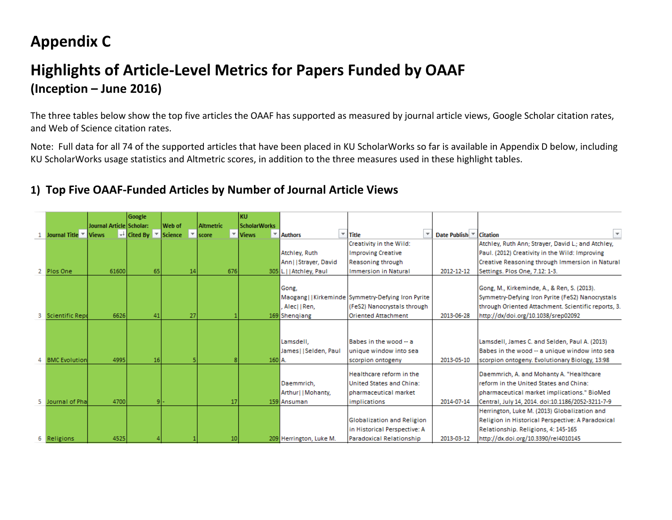# **Appendix C**

# **Highlights of Article-Level Metrics for Papers Funded by OAAF (Inception – June 2016)**

The three tables below show the top five articles the OAAF has supported as measured by journal article views, Google Scholar citation rates, and Web of Science citation rates.

Note: Full data for all 74 of the supported articles that have been placed in KU ScholarWorks so far is available in Appendix D below, including KU ScholarWorks usage statistics and Altmetric scores, in addition to the three measures used in these highlight tables.

## **1) Top Five OAAF-Funded Articles by Number of Journal Article Views**

|   |                      |                          | Google                                       |        |                  | KU                  |                          |                                                           |                         |                                                     |
|---|----------------------|--------------------------|----------------------------------------------|--------|------------------|---------------------|--------------------------|-----------------------------------------------------------|-------------------------|-----------------------------------------------------|
|   |                      | Journal Article Scholar: |                                              | Web of | <b>Altmetric</b> | <b>ScholarWorks</b> |                          |                                                           |                         |                                                     |
|   | Journal Title Views  |                          | $\frac{1}{2}$ Cited By $\frac{1}{2}$ Science |        | <b>Iscore</b>    | ▼ Views<br>v.       | <b>Authors</b>           | $\overline{\phantom{a}}$ Title<br>$\overline{\mathbf{v}}$ | Date Publish ▼ Citation | $\overline{\mathbf{v}}$                             |
|   |                      |                          |                                              |        |                  |                     |                          | Creativity in the Wild:                                   |                         | Atchley, Ruth Ann; Strayer, David L.; and Atchley,  |
|   |                      |                          |                                              |        |                  |                     | Atchley, Ruth            | <b>Improving Creative</b>                                 |                         | Paul. (2012) Creativity in the Wild: Improving      |
|   |                      |                          |                                              |        |                  |                     | Ann  Strayer, David      | <b>Reasoning through</b>                                  |                         | Creative Reasoning through Immersion in Natural     |
|   | Plos One             | 61600                    | 65                                           | 14     | 676              |                     | 305 L.     Atchley, Paul | <b>Immersion in Natural</b>                               | 2012-12-12              | Settings. Plos One, 7.12: 1-3.                      |
|   |                      |                          |                                              |        |                  |                     |                          |                                                           |                         |                                                     |
|   |                      |                          |                                              |        |                  |                     | Gong.                    |                                                           |                         | Gong, M., Kirkeminde, A., & Ren, S. (2013).         |
|   |                      |                          |                                              |        |                  |                     |                          | Maogang  Kirkeminde Symmetry-Defying Iron Pyrite          |                         | Symmetry-Defying Iron Pyrite (FeS2) Nanocrystals    |
|   |                      |                          |                                              |        |                  |                     | . Alec  Ren,             | (FeS2) Nanocrystals through                               |                         | through Oriented Attachment. Scientific reports, 3. |
| з | Scientific Repo      | 6626                     | 41                                           | 27     |                  |                     | 169 Shengiang            | <b>Oriented Attachment</b>                                | 2013-06-28              | http://dx/doi.org/10.1038/srep02092                 |
|   |                      |                          |                                              |        |                  |                     |                          |                                                           |                         |                                                     |
|   |                      |                          |                                              |        |                  |                     |                          |                                                           |                         |                                                     |
|   |                      |                          |                                              |        |                  |                     | Lamsdell,                | Babes in the wood -- a                                    |                         | Lamsdell, James C. and Selden, Paul A. (2013)       |
|   |                      |                          |                                              |        |                  |                     | James     Selden, Paul   | unique window into sea                                    |                         | Babes in the wood -- a unique window into sea       |
|   | <b>BMC</b> Evolution | 4995                     | 16                                           |        |                  | 160 A.              |                          | scorpion ontogeny                                         | 2013-05-10              | scorpion ontogeny. Evolutionary Biology, 13:98      |
|   |                      |                          |                                              |        |                  |                     |                          | Healthcare reform in the                                  |                         | Daemmrich, A. and Mohanty A. "Healthcare            |
|   |                      |                          |                                              |        |                  |                     | Daemmrich,               | United States and China:                                  |                         | reform in the United States and China:              |
|   |                      |                          |                                              |        |                  |                     | Arthur    Mohanty,       | Ipharmaceutical market                                    |                         | pharmaceutical market implications." BioMed         |
| 5 | Journal of Phal      | 4700                     |                                              |        | 17               |                     | 159 Ansuman              | implications                                              | 2014-07-14              | Central, July 14, 2014. doi:10.1186/2052-3211-7-9   |
|   |                      |                          |                                              |        |                  |                     |                          |                                                           |                         | Herrington, Luke M. (2013) Globalization and        |
|   |                      |                          |                                              |        |                  |                     |                          | Globalization and Religion                                |                         | Religion in Historical Perspective: A Paradoxical   |
|   |                      |                          |                                              |        |                  |                     |                          | in Historical Perspective: A                              |                         | Relationship. Religions, 4: 145-165                 |
|   | Religions            | 4525                     |                                              |        | 10 <sup>1</sup>  |                     | 209 Herrington, Luke M.  | Paradoxical Relationship                                  | 2013-03-12              | http://dx.doi.org/10.3390/rel4010145                |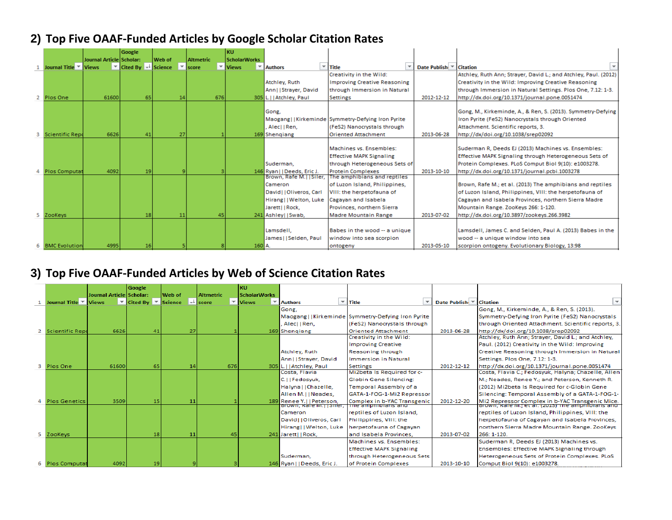## **2) Top Five OAAF-Funded Articles by Google Scholar Citation Rates**

| Journal Article Scholar:<br>Web of<br><b>Altmetric</b><br><b>ScholarWorks</b><br>$\overline{\phantom{a}}$ Cited By $\overline{\phantom{a}}$ Science<br>$\overline{\phantom{a}}$ Title<br>Journal Title <sup>v</sup> Views<br>▼ Views<br>▼ Authors<br>$\overline{\phantom{a}}$<br>Date Publish<br><b>Citation</b><br>$\overline{\phantom{a}}$<br>score<br>Creativity in the Wild:<br>Atchley, Ruth Ann; Strayer, David L.; and Atchley, Paul. (2012)<br>Atchley, Ruth<br><b>Improving Creative Reasoning</b><br>Creativity in the Wild: Improving Creative Reasoning |  |
|---------------------------------------------------------------------------------------------------------------------------------------------------------------------------------------------------------------------------------------------------------------------------------------------------------------------------------------------------------------------------------------------------------------------------------------------------------------------------------------------------------------------------------------------------------------------|--|
|                                                                                                                                                                                                                                                                                                                                                                                                                                                                                                                                                                     |  |
|                                                                                                                                                                                                                                                                                                                                                                                                                                                                                                                                                                     |  |
|                                                                                                                                                                                                                                                                                                                                                                                                                                                                                                                                                                     |  |
|                                                                                                                                                                                                                                                                                                                                                                                                                                                                                                                                                                     |  |
| through Immersion in Natural<br>through Immersion in Natural Settings. Plos One, 7.12: 1-3.<br>Ann  Strayer, David                                                                                                                                                                                                                                                                                                                                                                                                                                                  |  |
| 65<br>61600<br>676<br>2012-12-12<br>http://dx.doi.org/10.1371/journal.pone.0051474<br>2 Plos One<br>14<br>305 L. Hatchley, Paul<br>Settings                                                                                                                                                                                                                                                                                                                                                                                                                         |  |
| Gong.<br>Gong, M., Kirkeminde, A., & Ren, S. (2013). Symmetry-Defying<br>Maogang   Kirkeminde Symmetry-Defying Iron Pyrite<br>Iron Pyrite (FeS2) Nanocrystals through Oriented<br>Alec  Ren,<br>Attachment. Scientific reports, 3.<br>(FeS2) Nanocrystals through<br>6626<br>27<br>2013-06-28<br><b>Scientific Repo</b><br><b>Oriented Attachment</b><br>http://dx/doi.org/10.1038/srep02092<br>41<br>169 Shengiang                                                                                                                                                 |  |
| Machines vs. Ensembles:<br>Suderman R, Deeds EJ (2013) Machines vs. Ensembles:                                                                                                                                                                                                                                                                                                                                                                                                                                                                                      |  |
| <b>Effective MAPK Signaling</b><br>Effective MAPK Signaling through Heterogeneous Sets of                                                                                                                                                                                                                                                                                                                                                                                                                                                                           |  |
| Protein Complexes. PLoS Comput Biol 9(10): e1003278.<br>Suderman,<br>through Heterogeneous Sets of                                                                                                                                                                                                                                                                                                                                                                                                                                                                  |  |
| 4092<br>19<br>2013-10-10<br>http://dx.doi.org/10.1371/journal.pcbi.1003278<br>Plos Computat<br>146 Ryan     Deeds, Eric J.<br>Protein Complexes                                                                                                                                                                                                                                                                                                                                                                                                                     |  |
| The amphibians and reptiles<br>Brown, Rafe M.   Siler,                                                                                                                                                                                                                                                                                                                                                                                                                                                                                                              |  |
| of Luzon Island, Philippines,<br>Brown, Rafe M.; et al. (2013) The amphibians and reptiles<br>Cameron                                                                                                                                                                                                                                                                                                                                                                                                                                                               |  |
| David     Oliveros, Carl<br>VIII: the herpetofauna of<br>of Luzon Island, Philippines, VIII: the herpetofauna of                                                                                                                                                                                                                                                                                                                                                                                                                                                    |  |
| Hirang     Welton, Luke<br>Cagayan and Isabela Provinces, northern Sierra Madre<br>Cagayan and Isabela                                                                                                                                                                                                                                                                                                                                                                                                                                                              |  |
| Jarett     Rock.<br>Provinces, northern Sierra<br>Mountain Range, ZooKeys 266: 1-120.                                                                                                                                                                                                                                                                                                                                                                                                                                                                               |  |
| 45<br>2013-07-02<br>5 ZooKeys<br>18 <sup>1</sup><br>11<br>Madre Mountain Range<br>http://dx.doi.org/10.3897/zookeys.266.3982<br>241 Ashley    Swab,                                                                                                                                                                                                                                                                                                                                                                                                                 |  |
| Lamsdell,<br>Lamsdell, James C. and Selden, Paul A. (2013) Babes in the<br>Babes in the wood -- a unique<br>James     Selden, Paul<br>window into sea scorpion<br>wood -- a unique window into sea                                                                                                                                                                                                                                                                                                                                                                  |  |
| <b>BMC</b> Evolution<br>4995<br>16<br>$160$ A.<br>2013-05-10<br>scorpion ontogeny. Evolutionary Biology, 13:98<br>ontogeny                                                                                                                                                                                                                                                                                                                                                                                                                                          |  |

## **3) Top Five OAAF-Funded Articles by Web of Science Citation Rates**

|                                        |                          | Google                            |    |         |               |     | KU                             |                                |                                |                                                   |              |                                                                                                     |
|----------------------------------------|--------------------------|-----------------------------------|----|---------|---------------|-----|--------------------------------|--------------------------------|--------------------------------|---------------------------------------------------|--------------|-----------------------------------------------------------------------------------------------------|
|                                        | Journal Article Scholar: |                                   |    | Web of  | Altmetric     |     | <b>ScholarWorks</b>            |                                |                                |                                                   |              |                                                                                                     |
| Journal Title $\overline{\phantom{a}}$ | <b>Views</b>             | $\overline{\phantom{a}}$ Cited By |    | Science | <b>Iscore</b> |     | $\overline{\phantom{a}}$ Views | <b>Authors</b>                 | $\overline{\phantom{a}}$ Title |                                                   | Date Publish | <b>Citation</b>                                                                                     |
|                                        |                          |                                   |    |         |               |     |                                | Gong.                          |                                |                                                   |              | Gong, M., Kirkeminde, A., & Ren, S. (2013).                                                         |
|                                        |                          |                                   |    |         |               |     |                                |                                |                                | Maogang  Kirkeminde Symmetry-Defying Iron Pyrite  |              | Symmetry-Defying Iron Pyrite (FeS2) Nanocrystals                                                    |
|                                        |                          |                                   |    |         |               |     |                                | . Aleci i Ren.                 |                                | (FeS2) Nanocrystals through                       |              | through Oriented Attachment, Scientific reports, 3.                                                 |
| <b>Scientific Repo</b>                 | 6626                     |                                   | 41 | 27      |               |     |                                | 169 Shengiang                  |                                | <b>Oriented Attachment</b>                        | 2013-06-28   | http://dx/doi.org/10.1038/srep02092                                                                 |
|                                        |                          |                                   |    |         |               |     |                                |                                |                                | Creativity in the Wild:                           |              | Atchley, Ruth Ann: Strayer, David L.; and Atchley,                                                  |
|                                        |                          |                                   |    |         |               |     |                                |                                |                                | <b>Improving Creative</b>                         |              | Paul. (2012) Creativity in the Wild: Improving                                                      |
|                                        |                          |                                   |    |         |               |     |                                | Atchley, Ruth                  |                                | Reasoning through                                 |              | Creative Reasoning through Immersion in Natural                                                     |
|                                        |                          |                                   |    |         |               |     |                                | Ann  Strayer, David            |                                | <b>Immersion in Natural</b>                       |              | Settings. Plos One, 7.12: 1-3.                                                                      |
| Plos One                               | 61600                    |                                   | 65 | 14      |               | 676 |                                | 305 L.     Atchley, Paul       |                                | <b>Settings</b>                                   | 2012-12-12   | http://dx.doi.org/10.1371/journal.pone.0051474                                                      |
|                                        |                          |                                   |    |         |               |     |                                | Costa, Flavia                  |                                | Mi2beta Is Required for c-                        |              | Costa, Flavia C.; Fedosyuk, Halyna; Chazelle, Allen                                                 |
|                                        |                          |                                   |    |         |               |     |                                | C.IIFedosvuk.                  |                                | <b>Globin Gene Silencing:</b>                     |              | M.; Neades, Renee Y.; and Peterson, Kenneth R.                                                      |
|                                        |                          |                                   |    |         |               |     |                                | Halyna     Chazelle,           |                                | Temporal Assembly of a                            |              | (2012) Mi2beta Is Required for c-Globin Gene                                                        |
|                                        |                          |                                   |    |         |               |     |                                | Allen M.     Neades,           |                                | GATA-1-FOG-1-Mi2 Repressor                        |              | Silencing: Temporal Assembly of a GATA-1-FOG-1-                                                     |
| <b>Plos Genetics</b>                   | 3509                     |                                   | 15 | 11      |               |     |                                | 189 Renee Y.     Peterson,     |                                | Complex in b-YAC Transgenic<br>The amphibians and | 2012-12-20   | Mi2 Repressor Complex in b-YAC Transgenic Mice.<br>brown, Rafe M.; et al. (2013) The amphibians and |
|                                        |                          |                                   |    |         |               |     |                                | <u>brown, kate will stret,</u> |                                |                                                   |              |                                                                                                     |
|                                        |                          |                                   |    |         |               |     |                                | Cameron                        |                                | reptiles of Luzon Island,                         |              | reptiles of Luzon Island, Philippines, VIII: the                                                    |
|                                        |                          |                                   |    |         |               |     |                                | David     Oliveros, Carl       |                                | Philippines, VIII: the                            |              | herpetofauna of Cagayan and Isabela Provinces,                                                      |
|                                        |                          |                                   |    |         |               |     |                                | Hirang  Welton, Luke           |                                | herpetofauna of Cagayan                           |              | northern Sierra Madre Mountain Range. ZooKeys                                                       |
| ZooKeys                                |                          |                                   | 18 | 11      |               | 45  |                                | 241 Jarett   Rock.             |                                | and Isabela Provinces.                            | 2013-07-02   | $266:1-120.$                                                                                        |
|                                        |                          |                                   |    |         |               |     |                                |                                |                                | Machines vs. Ensembles:                           |              | Suderman R. Deeds EJ (2013) Machines vs.                                                            |
|                                        |                          |                                   |    |         |               |     |                                |                                |                                | <b>Effective MAPK Signaling</b>                   |              | <b>Ensembles: Effective MAPK Signaling through</b>                                                  |
|                                        |                          |                                   |    |         |               |     |                                | Suderman,                      |                                | through Heterogeneous Sets                        |              | Heterogeneous Sets of Protein Complexes. PLoS                                                       |
| <b>Plos Computat</b>                   | 4092                     |                                   | 19 |         |               |     |                                | 146 Ryan     Deeds, Eric J.    |                                | of Protein Complexes                              | 2013-10-10   | Comput Biol 9(10): e1003278.                                                                        |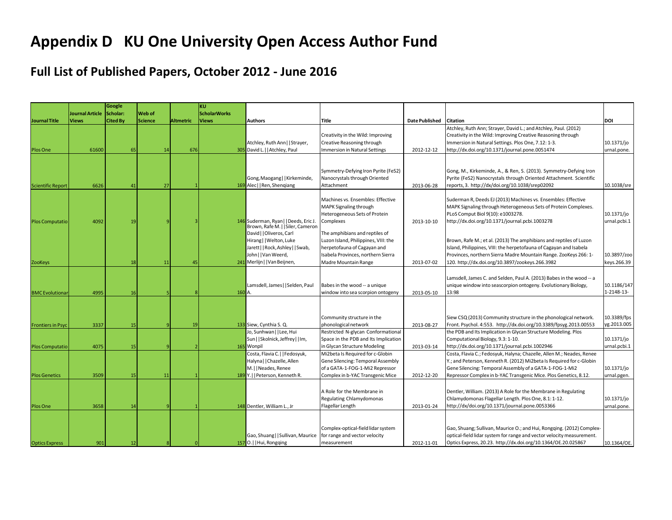# **Appendix D KU One University Open Access Author Fund**

## **Full List of Published Papers, October 2012 - June 2016**

|                                          |                        | Google          |               |                  | <b>KU</b>           |                                                                                                                                                                                                                            |                                                                                                                                                                                                                                                                                  |                          |                                                                                                                                                                                                                                                                                                                                                                                                                                                                                            |                                                          |
|------------------------------------------|------------------------|-----------------|---------------|------------------|---------------------|----------------------------------------------------------------------------------------------------------------------------------------------------------------------------------------------------------------------------|----------------------------------------------------------------------------------------------------------------------------------------------------------------------------------------------------------------------------------------------------------------------------------|--------------------------|--------------------------------------------------------------------------------------------------------------------------------------------------------------------------------------------------------------------------------------------------------------------------------------------------------------------------------------------------------------------------------------------------------------------------------------------------------------------------------------------|----------------------------------------------------------|
|                                          | <b>Journal Article</b> | Scholar:        | <b>Web</b> of |                  | <b>ScholarWorks</b> |                                                                                                                                                                                                                            |                                                                                                                                                                                                                                                                                  |                          |                                                                                                                                                                                                                                                                                                                                                                                                                                                                                            |                                                          |
| <b>Journal Title</b>                     | <b>Views</b>           | <b>Cited By</b> | Science       | <b>Altmetric</b> | <b>Views</b>        | Authors                                                                                                                                                                                                                    | <b>Title</b>                                                                                                                                                                                                                                                                     | <b>Date Published</b>    | <b>Citation</b>                                                                                                                                                                                                                                                                                                                                                                                                                                                                            | DOI                                                      |
| Plos One                                 | 61600                  | 65              | 14            | 676              |                     | Atchley, Ruth Ann     Strayer,<br>305 David L.     Atchley, Paul                                                                                                                                                           | Creativity in the Wild: Improving<br>Creative Reasoning through<br>mmersion in Natural Settings                                                                                                                                                                                  | 2012-12-12               | Atchley, Ruth Ann; Strayer, David L.; and Atchley, Paul. (2012)<br>Creativity in the Wild: Improving Creative Reasoning through<br>Immersion in Natural Settings. Plos One, 7.12: 1-3.<br>http://dx.doi.org/10.1371/journal.pone.0051474                                                                                                                                                                                                                                                   | 10.1371/jo<br>urnal.pone.                                |
| <b>Scientific Report</b>                 | 6626                   | 41              | 27            |                  |                     | Gong, Maogang   Kirkeminde,<br>169 Alec     Ren, Shengiang                                                                                                                                                                 | Symmetry-Defying Iron Pyrite (FeS2)<br>Nanocrystals through Oriented<br>Attachment                                                                                                                                                                                               | 2013-06-28               | Gong, M., Kirkeminde, A., & Ren, S. (2013). Symmetry-Defying Iron<br>Pyrite (FeS2) Nanocrystals through Oriented Attachment. Scientific<br>reports, 3. http://dx/doi.org/10.1038/srep02092                                                                                                                                                                                                                                                                                                 | 10.1038/sre                                              |
| <b>Plos Computatio</b><br><b>ZooKeys</b> | 4092                   | 19<br>18        | 11            | 45               |                     | 146 Suderman, Ryan     Deeds, Eric J.<br>Brown, Rafe M.     Siler, Cameron<br>David     Oliveros, Carl<br>Hirang     Welton, Luke<br>Jarett     Rock, Ashley     Swab,<br>John  Van Weerd,<br>241 Merlijn     Van Beijnen, | Machines vs. Ensembles: Effective<br>MAPK Signaling through<br>Heterogeneous Sets of Protein<br>Complexes<br>The amphibians and reptiles of<br>Luzon Island, Philippines, VIII: the<br>herpetofauna of Cagayan and<br>Isabela Provinces, northern Sierra<br>Madre Mountain Range | 2013-10-10<br>2013-07-02 | Suderman R, Deeds EJ (2013) Machines vs. Ensembles: Effective<br>MAPK Signaling through Heterogeneous Sets of Protein Complexes.<br>PLoS Comput Biol 9(10): e1003278.<br>http://dx.doi.org/10.1371/journal.pcbi.1003278<br>Brown, Rafe M.; et al. (2013) The amphibians and reptiles of Luzon<br>Island, Philippines, VIII: the herpetofauna of Cagayan and Isabela<br>Provinces, northern Sierra Madre Mountain Range. ZooKeys 266: 1-<br>120. http://dx.doi.org/10.3897/zookeys.266.3982 | 10.1371/jo<br>urnal.pcbi.1<br>10.3897/zoo<br>keys.266.39 |
|                                          |                        |                 |               |                  |                     |                                                                                                                                                                                                                            |                                                                                                                                                                                                                                                                                  |                          |                                                                                                                                                                                                                                                                                                                                                                                                                                                                                            |                                                          |
| <b>BMC</b> Evolutional                   | 4995                   | 16              |               |                  |                     | Lamsdell, James     Selden, Paul<br>160 A.                                                                                                                                                                                 | Babes in the wood -- a unique<br>window into sea scorpion ontogeny                                                                                                                                                                                                               | 2013-05-10               | Lamsdell, James C. and Selden, Paul A. (2013) Babes in the wood -- a<br>unique window into seascorpion ontogeny. Evolutionary Biology,<br>13:98                                                                                                                                                                                                                                                                                                                                            | 10.1186/147<br>1-2148-13-                                |
| <b>Frontiers in Psyc</b>                 | 3337                   | 15              |               | 19               |                     | 133 Siew, Cynthia S. Q.                                                                                                                                                                                                    | Community structure in the<br>phonological network                                                                                                                                                                                                                               | 2013-08-27               | Siew CSQ (2013) Community structure in the phonological network.<br>Front. Psychol. 4:553. http://dx.doi.org/10.3389/fpsyg.2013.00553                                                                                                                                                                                                                                                                                                                                                      | 10.3389/fps<br>yg.2013.005                               |
| <b>Plos Computatio</b>                   | 4075                   | 15              |               |                  |                     | Jo, Sunhwan     Lee, Hui<br>Sun     Skolnick, Jeffrey     Im,<br>165 Wonpil                                                                                                                                                | Restricted N-glycan Conformational<br>Space in the PDB and Its Implication<br>in Glycan Structure Modeling                                                                                                                                                                       | 2013-03-14               | the PDB and Its Implication in Glycan Structure Modeling. Plos<br>Computational Biology, 9.3: 1-10.<br>http://dx.doi.org/10.1371/journal.pcbi.1002946                                                                                                                                                                                                                                                                                                                                      | 10.1371/jo<br>urnal.pcbi.1                               |
| <b>Plos Genetics</b>                     | 3509                   | 15              | 11            |                  |                     | Costa, Flavia C.     Fedosyuk,<br>Halyna     Chazelle, Allen<br>M.     Neades, Renee<br>189 Y.     Peterson, Kenneth R.                                                                                                    | Mi2beta Is Required for c-Globin<br>Gene Silencing: Temporal Assembly<br>of a GATA-1-FOG-1-Mi2 Repressor<br>Complex in b-YAC Transgenic Mice                                                                                                                                     | 2012-12-20               | Costa, Flavia C.; Fedosyuk, Halyna; Chazelle, Allen M.; Neades, Renee<br>Y.; and Peterson, Kenneth R. (2012) Mi2beta Is Required for c-Globin<br>Gene Silencing: Temporal Assembly of a GATA-1-FOG-1-Mi2<br>Repressor Complex in b-YAC Transgenic Mice. Plos Genetics, 8.12.                                                                                                                                                                                                               | 10.1371/jo<br>urnal.pgen.                                |
| Plos One                                 | 3658                   | 14              |               |                  |                     | 148 Dentler, William L., Jr                                                                                                                                                                                                | A Role for the Membrane in<br>Regulating Chlamydomonas<br>Flagellar Length                                                                                                                                                                                                       | 2013-01-24               | Dentler, William. (2013) A Role for the Membrane in Regulating<br>Chlamydomonas Flagellar Length. Plos One, 8.1: 1-12.<br>http://dx/doi.org/10.1371/journal.pone.0053366                                                                                                                                                                                                                                                                                                                   | 10.1371/jo<br>urnal.pone.                                |
| <b>Optics Express</b>                    | 901                    | 12              |               |                  |                     | Gao, Shuang     Sullivan, Maurice<br>157 O.     Hui, Rongqing                                                                                                                                                              | Complex-optical-field lidar system<br>for range and vector velocity<br>measurement                                                                                                                                                                                               | 2012-11-01               | Gao, Shuang; Sullivan, Maurice O.; and Hui, Rongqing. (2012) Complex-<br>optical-field lidar system for range and vector velocity measurement.<br>Optics Express, 20.23. http://dx.doi.org/10.1364/OE.20.025867                                                                                                                                                                                                                                                                            | 10.1364/OE.                                              |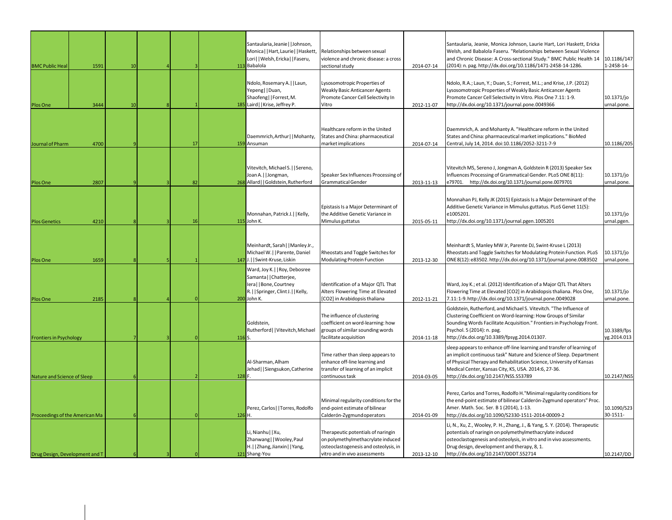| <b>BMC Public Heal</b>         | 1591 | 10 |    |                  | Santaularia, Jeanie     Johnson,<br>Monica     Hart, Laurie     Haskett, Relationships between sexual<br>Lori     Welsh, Ericka     Faseru,<br>113 Babalola | violence and chronic disease: a cross<br>sectional study                                                                                          | 2014-07-14 | Santaularia, Jeanie, Monica Johnson, Laurie Hart, Lori Haskett, Ericka<br>Welsh, and Babalola Faseru. "Relationships between Sexual Violence<br>and Chronic Disease: A Cross-sectional Study." BMC Public Health 14<br>(2014): n. pag. http://dx.doi.org/10.1186/1471-2458-14-1286.                                    | 10.1186/147<br>1-2458-14-  |
|--------------------------------|------|----|----|------------------|-------------------------------------------------------------------------------------------------------------------------------------------------------------|---------------------------------------------------------------------------------------------------------------------------------------------------|------------|------------------------------------------------------------------------------------------------------------------------------------------------------------------------------------------------------------------------------------------------------------------------------------------------------------------------|----------------------------|
| Plos One                       | 3444 | 10 |    |                  | Ndolo, Rosemary A.     Laun,<br>Yepeng  Duan,<br>Shaofeng  Forrest, M.<br>185 Laird   Krise, Jeffrey P.                                                     | Lysosomotropic Properties of<br><b>Weakly Basic Anticancer Agents</b><br>Promote Cancer Cell Selectivity In<br>Vitro                              | 2012-11-07 | Ndolo, R.A.; Laun, Y.; Duan, S.; Forrest, M.L.; and Krise, J.P. (2012)<br>Lysosomotropic Properties of Weakly Basic Anticancer Agents<br>Promote Cancer Cell Selectivity In Vitro. Plos One 7.11: 1-9.<br>http://dx.doi.org/10.1371/journal.pone.0049366                                                               | 10.1371/jo<br>urnal.pone.  |
| Journal of Pharm               | 4700 |    | 17 |                  | Daemmrich, Arthur     Mohanty,<br>159 Ansuman                                                                                                               | Healthcare reform in the United<br>States and China: pharmaceutical<br>market implications                                                        | 2014-07-14 | Daemmrich, A. and Mohanty A. "Healthcare reform in the United<br>States and China: pharmaceutical market implications." BioMed<br>Central, July 14, 2014. doi:10.1186/2052-3211-7-9                                                                                                                                    | 10.1186/205                |
| Plos One                       | 2807 |    | 82 |                  | Vitevitch, Michael S.     Sereno,<br>Joan A.   Jongman,<br>268 Allard   Goldstein, Rutherford                                                               | Speaker Sex Influences Processing of<br>Grammatical Gender                                                                                        | 2013-11-13 | Vitevitch MS, Sereno J, Jongman A, Goldstein R (2013) Speaker Sex<br>Influences Processing of Grammatical Gender. PLoS ONE 8(11):<br>e79701.<br>http://dx.doi.org/10.1371/journal.pone.0079701                                                                                                                         | 10.1371/jo<br>urnal.pone.  |
| <b>Plos Genetics</b>           | 4210 |    | 16 |                  | Monnahan, Patrick J.   Kelly,<br>115 John K.                                                                                                                | Epistasis Is a Major Determinant of<br>the Additive Genetic Variance in<br>Mimulus guttatus                                                       | 2015-05-11 | Monnahan PJ, Kelly JK (2015) Epistasis Is a Major Determinant of the<br>Additive Genetic Variance in Mimulus guttatus. PLoS Genet 11(5):<br>e1005201.<br>http://dx.doi.org/10.1371/journal.pgen.1005201                                                                                                                | 10.1371/jo<br>urnal.pgen.  |
| Plos One                       | 1659 |    |    |                  | Meinhardt, Sarah     Manley Jr.,<br>Michael W.     Parente, Daniel<br>147 J.   Swint-Kruse, Liskin                                                          | Rheostats and Toggle Switches for<br>Modulating Protein Function                                                                                  | 2013-12-30 | Meinhardt S, Manley MW Jr, Parente DJ, Swint-Kruse L (2013)<br>Rheostats and Toggle Switches for Modulating Protein Function. PLoS<br>ONE 8(12): e83502. http://dx.doi.org/10.1371/journal.pone.0083502                                                                                                                | 10.1371/jo<br>irnal.pone.  |
| Plos One                       | 2185 |    |    |                  | Ward, Joy K.     Roy, Debosree<br>Samanta     Chatterjee,<br>Iera     Bone, Courtney<br>R.     Springer, Clint J.     Kelly,<br>200 John K.                 | Identification of a Major QTL That<br>Alters Flowering Time at Elevated<br>[CO2] in Arabidopsis thaliana                                          | 2012-11-21 | Ward, Joy K.; et al. (2012) Identification of a Major QTL That Alters<br>Flowering Time at Elevated [CO2] in Arabidopsis thaliana. Plos One,<br>7.11:1-9.http://dx.doi.org/10.1371/journal.pone.0049028                                                                                                                | 10.1371/jo<br>urnal.pone.  |
| <b>Frontiers in Psychology</b> |      |    |    | 116 <sub>S</sub> | Goldstein,<br>Rutherford     Vitevitch, Michael                                                                                                             | The influence of clustering<br>coefficient on word-learning: how<br>groups of similar sounding words<br>facilitate acquisition                    | 2014-11-18 | Goldstein, Rutherford, and Michael S. Vitevitch. "The Influence of<br>Clustering Coefficient on Word-learning: How Groups of Similar<br>Sounding Words Facilitate Acquisition." Frontiers in Psychology Front.<br>Psychol. 5 (2014): n. pag.<br>http://dx.doi.org/10.3389/fpsyg.2014.01307.                            | 10.3389/fps<br>yg.2014.013 |
| Nature and Science of Sleep    |      |    |    | 128 F.           | Al-Sharman, Alham<br>Jehad     Siengsukon, Catherine                                                                                                        | Time rather than sleep appears to<br>enhance off-line learning and<br>transfer of learning of an implicit<br>continuous task                      | 2014-03-05 | sleep appears to enhance off-line learning and transfer of learning of<br>an implicit continuous task" Nature and Science of Sleep. Department<br>of Physical Therapy and Rehabilitation Science, University of Kansas<br>Medical Center, Kansas City, KS, USA. 2014:6, 27-36.<br>http://dx.doi.org/10.2147/NSS.S53789 | 10.2147/NSS                |
| Proceedings of the American Ma |      |    |    | 126 H.           | Perez, Carlos     Torres, Rodolfo                                                                                                                           | Minimal regularity conditions for the<br>end-point estimate of bilinear<br>Calderón-Zygmund operators                                             | 2014-01-09 | Perez, Carlos and Torres, Rodolfo H. "Minimal regularity conditions for<br>the end-point estimate of bilinear Calderón-Zygmund operators" Proc<br>Amer. Math. Soc. Ser. B 1 (2014), 1-13.<br>http://dx.doi.org/10.1090/S2330-1511-2014-00009-2                                                                         | 10.1090/S23<br>30-1511-    |
| Drug Design, Development and T |      |    |    |                  | Li, Nianhu     Xu,<br>Zhanwang     Wooley, Paul<br>H.     Zhang, Jianxin     Yang,<br>121 Shang-You                                                         | Therapeutic potentials of naringin<br>on polymethylmethacrylate induced<br>osteoclastogenesis and osteolysis, in<br>vitro and in vivo assessments | 2013-12-10 | Li, N., Xu, Z., Wooley, P. H., Zhang, J., & Yang, S. Y. (2014). Therapeutic<br>potentials of naringin on polymethylmethacrylate induced<br>osteoclastogenesis and osteolysis, in vitro and in vivo assessments.<br>Drug design, development and therapy, 8, 1.<br>http://dx.doi.org/10.2147/DDDT.S52714                | 10.2147/DD                 |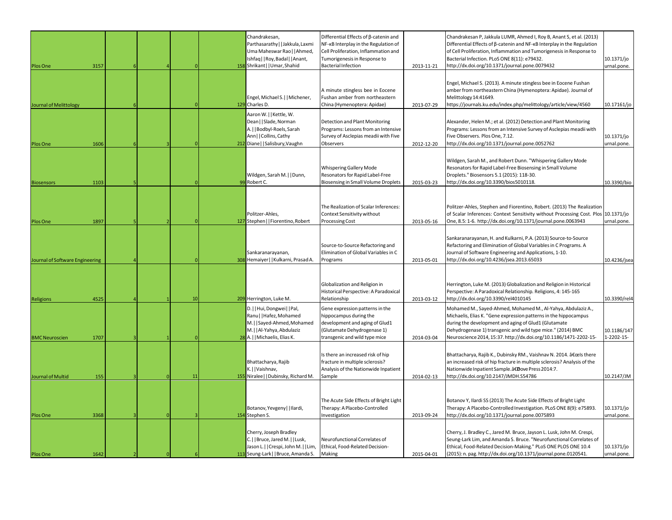| Plos One                        | 3157 |  |    |     | Chandrakesan,<br>Parthasarathy   Jakkula, Laxmi<br>Uma Maheswar Rao     Ahmed,<br>Ishfaq     Roy, Badal     Anant,<br>158 Shrikant     Umar, Shahid   | Differential Effects of B-catenin and<br>NF-KB Interplay in the Regulation of<br>Cell Proliferation, Inflammation and<br>Tumorigenesis in Response to<br><b>Bacterial Infection</b> | 2013-11-21 | Chandrakesan P, Jakkula LUMR, Ahmed I, Roy B, Anant S, et al. (2013)<br>Differential Effects of ß-catenin and NF-KB Interplay in the Regulation<br>of Cell Proliferation, Inflammation and Tumorigenesis in Response to<br>Bacterial Infection. PLoS ONE 8(11): e79432.<br>http://dx.doi.org/10.1371/journal.pone.0079432    | 10.1371/jo<br>urnal.pone. |
|---------------------------------|------|--|----|-----|-------------------------------------------------------------------------------------------------------------------------------------------------------|-------------------------------------------------------------------------------------------------------------------------------------------------------------------------------------|------------|------------------------------------------------------------------------------------------------------------------------------------------------------------------------------------------------------------------------------------------------------------------------------------------------------------------------------|---------------------------|
| Journal of Melittology          |      |  |    |     | Engel, Michael S.     Michener,<br>129 Charles D.                                                                                                     | A minute stingless bee in Eocene<br>Fushan amber from northeastern<br>China (Hymenoptera: Apidae)                                                                                   | 2013-07-29 | Engel, Michael S. (2013). A minute stingless bee in Eocene Fushan<br>amber from northeastern China (Hymenoptera: Apidae). Journal of<br>Melittology 14:41649.<br>https://journals.ku.edu/index.php/melittology/article/view/4560                                                                                             | 10.17161/jo               |
| Plos One                        | 1606 |  |    | 212 | Aaron W.     Kettle, W.<br>Dean     Slade, Norman<br>A.     Bodbyl-Roels, Sarah<br>Ann     Collins, Cathy<br>Diane   Salisbury, Vaughn                | Detection and Plant Monitoring<br>Programs: Lessons from an Intensive<br>Survey of Asclepias meadii with Five<br>Observers                                                          | 2012-12-20 | Alexander, Helen M.; et al. (2012) Detection and Plant Monitoring<br>Programs: Lessons from an Intensive Survey of Asclepias meadii with<br>Five Observers. Plos One, 7.12.<br>http://dx.doi.org/10.1371/journal.pone.0052762                                                                                                | 10.1371/jo<br>urnal.pone. |
| <b>Biosensors</b>               | 1103 |  |    |     | Wildgen, Sarah M.     Dunn,<br>99 Robert C.                                                                                                           | Whispering Gallery Mode<br>Resonators for Rapid Label-Free<br>Biosensing in Small Volume Droplets                                                                                   | 2015-03-23 | Wildgen, Sarah M., and Robert Dunn. "Whispering Gallery Mode<br>Resonators for Rapid Label-Free Biosensing in Small Volume<br>Droplets." Biosensors 5.1 (2015): 118-30.<br>http://dx.doi.org/10.3390/bios5010118.                                                                                                            | 10.3390/bio               |
| Plos One                        | 1897 |  |    |     | Politzer-Ahles,<br>127 Stephen     Fiorentino, Robert                                                                                                 | The Realization of Scalar Inferences:<br>Context Sensitivity without<br><b>Processing Cost</b>                                                                                      | 2013-05-16 | Politzer-Ahles, Stephen and Fiorentino, Robert. (2013) The Realization<br>of Scalar Inferences: Context Sensitivity without Processing Cost. Plos 10.1371/jo<br>One, 8.5: 1-6. http://dx.doi.org/10.1371/journal.pone.0063943                                                                                                | urnal.pone.               |
| Journal of Software Engineering |      |  |    |     | Sankaranarayanan,<br>308 Hemaiyer     Kulkarni, Prasad A.                                                                                             | Source-to-Source Refactoring and<br>Elimination of Global Variables in C<br>Programs                                                                                                | 2013-05-01 | Sankaranarayanan, H. and Kulkarni, P.A. (2013) Source-to-Source<br>Refactoring and Elimination of Global Variables in C Programs. A<br>Journal of Software Engineering and Applications, 1-10.<br>http://dx.doi.org/10.4236/jsea.2013.65033                                                                                  | 10.4236/jsea              |
| Religions                       | 4525 |  | 10 |     | 209 Herrington, Luke M.                                                                                                                               | Globalization and Religion in<br>Historical Perspective: A Paradoxical<br>Relationship                                                                                              | 2013-03-12 | Herrington, Luke M. (2013) Globalization and Religion in Historical<br>Perspective: A Paradoxical Relationship. Religions, 4: 145-165<br>http://dx.doi.org/10.3390/rel4010145                                                                                                                                                | 10.3390/rel4              |
| <b>BMC Neuroscien</b>           | 1707 |  |    |     | D.     Hui, Dongwei     Pal,<br>Ranu     Hafez, Mohamed<br>M.     Sayed-Ahmed, Mohamed<br>M.     Al-Yahya, Abdulaziz<br>28 A.     Michaelis, Elias K. | Gene expression patterns in the<br>hippocampus during the<br>development and aging of Glud1<br>(Glutamate Dehydrogenase 1)<br>transgenic and wild type mice                         | 2014-03-04 | Mohamed M., Sayed-Ahmed, Mohamed M., Al-Yahya, Abdulaziz A.,<br>Michaelis, Elias K. "Gene expression patterns in the hippocampus<br>during the development and aging of Glud1 (Glutamate<br>Dehydrogenase 1) transgenic and wild type mice." (2014) BMC<br>Neuroscience 2014, 15:37. http://dx.doi.org/10.1186/1471-2202-15- | 10.1186/147<br>1-2202-15- |
| Journal of Multid               | 155  |  | 11 |     | Bhattacharya, Rajib<br>K.     Vaishnav,<br>155 Niralee     Dubinsky, Richard M.                                                                       | Is there an increased risk of hip<br>fracture in multiple sclerosis?<br>Analysis of the Nationwide Inpatient<br>Sample                                                              | 2014-02-13 | Bhattacharya, Rajib K., Dubinsky RM., Vaishnav N. 2014. "ls there<br>an increased risk of hip fracture in multiple sclerosis? Analysis of the<br>Nationwide Inpatient Sample. â€Dove Press 2014:7.<br>http://dx.doi.org/10.2147/JMDH.S54786                                                                                  | 10.2147/JM                |
| <b>Plos One</b>                 | 3368 |  |    |     | Botanov, Yevgeny     Ilardi,<br>154 Stephen S.                                                                                                        | The Acute Side Effects of Bright Light<br>Therapy: A Placebo-Controlled<br>Investigation                                                                                            | 2013-09-24 | Botanov Y, Ilardi SS (2013) The Acute Side Effects of Bright Light<br>Therapy: A Placebo-Controlled Investigation. PLoS ONE 8(9): e75893.<br>http://dx.doi.org/10.1371/journal.pone.0075893                                                                                                                                  | 10.1371/jo<br>urnal.pone. |
| <b>Plos One</b>                 | 1642 |  |    |     | Cherry, Joseph Bradley<br>C.     Bruce, Jared M.     Lusk,<br>Jason L.     Crespi, John M.     Lim,<br>113 Seung-Lark     Bruce, Amanda S. Making     | Neurofunctional Correlates of<br>Ethical, Food-Related Decision-                                                                                                                    | 2015-04-01 | Cherry, J. Bradley C., Jared M. Bruce, Jayson L. Lusk, John M. Crespi,<br>Seung-Lark Lim, and Amanda S. Bruce. "Neurofunctional Correlates of<br>Ethical, Food-Related Decision-Making." PLoS ONE PLOS ONE 10.4<br>(2015): n. pag. http://dx.doi.org/10.1371/journal.pone.0120541.                                           | 10.1371/jo<br>urnal.pone. |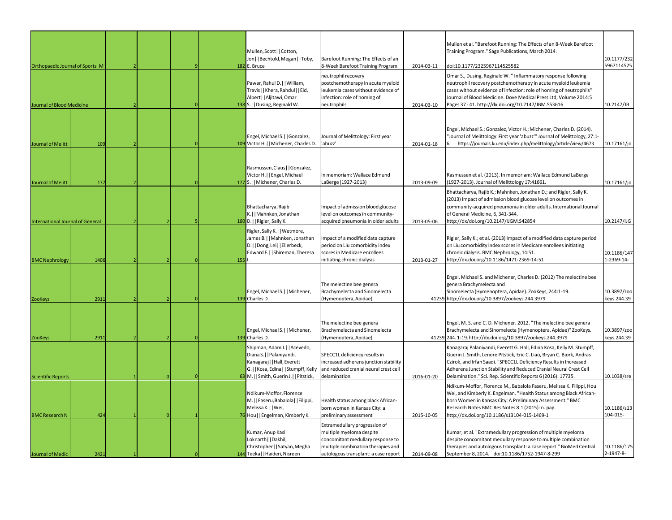| Orthopaedic Journal of Sports M  |      |  |  |     | Mullen, Scott   Cotton,<br>Jon     Bechtold, Megan     Toby,<br>182 E. Bruce                                                                                                 | Barefoot Running: The Effects of an<br>8-Week Barefoot Training Program                                                                                                      | 2014-03-11 | Mullen et al. "Barefoot Running: The Effects of an 8-Week Barefoot<br>Training Program." Sage Publications, March 2014.<br>doi:10.1177/2325967114525582                                                                                                                                                                                                   | 10.1177/232<br>5967114525  |
|----------------------------------|------|--|--|-----|------------------------------------------------------------------------------------------------------------------------------------------------------------------------------|------------------------------------------------------------------------------------------------------------------------------------------------------------------------------|------------|-----------------------------------------------------------------------------------------------------------------------------------------------------------------------------------------------------------------------------------------------------------------------------------------------------------------------------------------------------------|----------------------------|
| Journal of Blood Medicine        |      |  |  |     | Pawar, Rahul D.     William,<br>Travis  Khera, Rahdul  Eid,<br>Albert     Aljitawi, Omar<br>138 S.     Dusing, Reginald W.                                                   | neutrophil recovery<br>postchemotherapy in acute myeloid<br>leukemia cases without evidence of<br>infection: role of homing of<br>neutrophils                                | 2014-03-10 | Omar S., Dusing, Reginald W. " Inflammatory response following<br>neutrophil recovery postchemotherapy in acute myeloid leukemia<br>cases without evidence of infection: role of homing of neutrophils"<br>Journal of Blood Medicine. Dove Medical Press Ltd, Volume 2014:5<br>Pages 37 - 41. http://dx.doi.org/10.2147/JBM.S53616                        | 10.2147/JB                 |
|                                  |      |  |  |     | Engel, Michael S.   Gonzalez,                                                                                                                                                | Journal of Melittology: First year                                                                                                                                           |            | Engel, Michael S.; Gonzalez, Victor H.; Michener, Charles D. (2014).<br>"Journal of Melittology: First year 'abuzz'" Journal of Melittology, 27:1-                                                                                                                                                                                                        |                            |
| Journal of Melitt                | 109  |  |  |     | 109 Victor H.     Michener, Charles D.                                                                                                                                       | 'abuzz'                                                                                                                                                                      | 2014-01-18 | https://journals.ku.edu/index.php/melittology/article/view/4673                                                                                                                                                                                                                                                                                           | 10.17161/jo                |
| Journal of Melitt                | 177  |  |  |     | Rasmussen, Claus     Gonzalez,<br>Victor H.     Engel, Michael<br>177 S.     Michener, Charles D.                                                                            | In memoriam: Wallace Edmund<br>LaBerge (1927-2013)                                                                                                                           | 2013-09-09 | Rasmussen et al. (2013). In memoriam: Wallace Edmund LaBerge<br>(1927-2013). Journal of Melittology 17:41661.                                                                                                                                                                                                                                             | 10.17161/jo                |
| International Journal of General |      |  |  |     | Bhattacharya, Rajib<br>K.     Mahnken, Jonathan<br>160 D.     Rigler, Sally K.                                                                                               | Impact of admission blood glucose<br>level on outcomes in community-<br>acquired pneumonia in older adults                                                                   | 2013-05-06 | Bhattacharya, Rajib K.; Mahnken, Jonathan D.; and Rigler, Sally K.<br>(2013) Impact of admission blood glucose level on outcomes in<br>community-acquired pneumonia in older adults. International Journal<br>of General Medicine, 6, 341-344.<br>http://dx/doi.org/10.2147/IJGM.S42854                                                                   | 10.2147/IJG                |
| <b>BMC Nephrology</b>            | 1406 |  |  | 155 | Rigler, Sally K.     Wetmore,<br>James B.     Mahnken, Jonathan<br>D.     Dong, Lei     Ellerbeck,<br>Edward F.     Shireman, Theresa                                        | Impact of a modified data capture<br>period on Liu comorbidity index<br>scores in Medicare enrollees<br>initiating chronic dialysis                                          | 2013-01-27 | Rigler, Sally K.; et al. (2013) Impact of a modified data capture period<br>on Liu comorbidity index scores in Medicare enrollees initiating<br>chronic dialysis. BMC Nephrology, 14:51.<br>http://dx.doi.org/10.1186/1471-2369-14-51                                                                                                                     | 10.1186/147<br>1-2369-14-  |
| <b>ZooKeys</b>                   | 2911 |  |  |     | Engel, Michael S.     Michener,<br>139 Charles D.                                                                                                                            | The melectine bee genera<br>Brachymelecta and Sinomelecta<br>(Hymenoptera, Apidae)                                                                                           |            | Engel, Michael S. and Michener, Charles D. (2012) The melectine bee<br>genera Brachymelecta and<br>Sinomelecta (Hymenoptera, Apidae). ZooKeys, 244:1-19.<br>41239 http://dx.doi.org/10.3897/zookeys.244.3979                                                                                                                                              | 10.3897/zoo<br>keys.244.39 |
| ZooKeys                          | 2911 |  |  |     | Engel, Michael S.     Michener,<br>139 Charles D.                                                                                                                            | The melectine bee genera<br>Brachymelecta and Sinomelecta<br>(Hymenoptera, Apidae).                                                                                          |            | Engel, M. S. and C. D. Michener. 2012. "The melectine bee genera<br>Brachymelecta and Sinomelecta (Hymenoptera, Apidae)" ZooKeys.<br>41239 244.1-19. http://dx.doi.org/10.3897/zookeys.244.3979                                                                                                                                                           | 10.3897/zoo<br>keys.244.39 |
| <b>Scientific Reports</b>        |      |  |  |     | Shipman, Adam J.     Acevedo,<br>Diana S.     Palaniyandi,<br>Kanagaraj   Hall, Everett<br>G.     Kosa, Edina     Stumpff, Kelly<br>63 M.     Smith, Guerin J.     Pitstick, | SPECC1L deficiency results in<br>increased adherens junction stability<br>and reduced cranial neural crest cell<br>delamination                                              | 2016-01-20 | Kanagaraj Palaniyandi, Everett G. Hall, Edina Kosa, Kelly M. Stumpff,<br>Guerin J. Smith, Lenore Pitstick, Eric C. Liao, Bryan C. Bjork, Andras<br>Czirok, and Irfan Saadi. "SPECC1L Deficiency Results in Increased<br>Adherens Junction Stability and Reduced Cranial Neural Crest Cell<br>Delamination." Sci. Rep. Scientific Reports 6 (2016): 17735. | 10.1038/sre                |
| <b>BMC Research N</b>            | 424  |  |  |     | Ndikum-Moffor, Florence<br>M.     Faseru, Babalola     Filippi,<br>Melissa K.     Wei,<br>76 Hou     Engelman, Kimberly K.                                                   | Health status among black African-<br>born women in Kansas City: a<br>preliminary assessment                                                                                 | 2015-10-05 | Ndikum-Moffor, Florence M., Babalola Faseru, Melissa K. Filippi, Hou<br>Wei, and Kimberly K. Engelman. "Health Status among Black African-<br>born Women in Kansas City: A Preliminary Assessment." BMC<br>Research Notes BMC Res Notes 8.1 (2015): n. pag.<br>http://dx.doi.org/10.1186/s13104-015-1469-1                                                | 10.1186/s13<br>104-015-    |
| <b>Journal of Medic</b>          | 242  |  |  |     | Kumar, Anup Kasi<br>Loknarth     Dakhil,<br>Christopher     Satyan, Megha<br>144 Teeka     Haideri, Nisreen                                                                  | Extramedullary progression of<br>multiple myeloma despite<br>concomitant medullary response to<br>multiple combination therapies and<br>autologous transplant: a case report | 2014-09-08 | Kumar, et al. "Extramedullary progression of multiple myeloma<br>despite concomitant medullary response to multiple combination<br>therapies and autologous transplant: a case report." BioMed Central<br>September 8, 2014. doi:10.1186/1752-1947-8-299                                                                                                  | 10.1186/175<br>2-1947-8-   |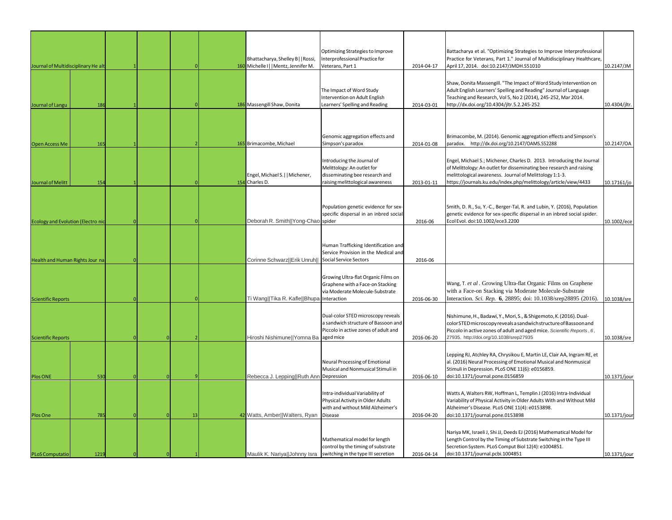| Journal of Multidisciplinary He alt       |      |  |    |  | Bhattacharya, Shelley B    Rossi,<br>160 Michelle I    Mentz, Jennifer M. | Optimizing Strategies to Improve<br>Interprofessional Practice for<br>Veterans, Part 1                                                   | 2014-04-17 | Battacharya et al. "Optimizing Strategies to Improve Interprofessional<br>Practice for Veterans, Part 1." Journal of Multidisciplinary Healthcare,<br>April 17, 2014. doi:10.2147/JMDH.S51010                                                                               | 10.2147/JM    |
|-------------------------------------------|------|--|----|--|---------------------------------------------------------------------------|------------------------------------------------------------------------------------------------------------------------------------------|------------|-----------------------------------------------------------------------------------------------------------------------------------------------------------------------------------------------------------------------------------------------------------------------------|---------------|
| Journal of Langu                          | 186  |  |    |  | 186 Massengill Shaw, Donita                                               | The Impact of Word Study<br>Intervention on Adult English<br>Learners' Spelling and Reading                                              | 2014-03-01 | Shaw, Donita Massengill. "The Impact of Word Study Intervention on<br>Adult English Learners' Spelling and Reading" Journal of Language<br>Teaching and Research, Vol 5, No 2 (2014), 245-252, Mar 2014.<br>http://dx.doi.org/10.4304/jltr.5.2.245-252                      | 10.4304/jltr. |
|                                           |      |  |    |  |                                                                           |                                                                                                                                          |            |                                                                                                                                                                                                                                                                             |               |
| <b>Open Access Me</b>                     | 165  |  |    |  | 165 Brimacombe, Michael                                                   | Genomic aggregation effects and<br>Simpson's paradox                                                                                     | 2014-01-08 | Brimacombe, M. (2014). Genomic aggregation effects and Simpson's<br>paradox. http://dx.doi.org/10.2147/OAMS.S52288                                                                                                                                                          | 10.2147/OA    |
| Journal of Melitt                         | 154  |  |    |  | Engel, Michael S.     Michener,<br>154 Charles D.                         | Introducing the Journal of<br>Melittology: An outlet for<br>disseminating bee research and<br>raising melittological awareness           | 2013-01-11 | Engel, Michael S.; Michener, Charles D. 2013. Introducing the Journal<br>of Melittology: An outlet for disseminating bee research and raising<br>melittological awareness. Journal of Melittology 1:1-3.<br>https://journals.ku.edu/index.php/melittology/article/view/4433 | 10.17161/jo   |
| <b>Ecology and Evolution (Electro nic</b> |      |  |    |  | Deborah R. Smith  Yong-Chao spider                                        | Population genetic evidence for sex-<br>specific dispersal in an inbred social                                                           | 2016-06    | Smith, D. R., Su, Y.-C., Berger-Tal, R. and Lubin, Y. (2016), Population<br>genetic evidence for sex-specific dispersal in an inbred social spider.<br>Ecol Evol. doi:10.1002/ece3.2200                                                                                     | 10.1002/ece   |
| Health and Human Rights Jour na           |      |  |    |  | Corinne Schwarz  Erik Unruh                                               | Human Trafficking Identification and<br>Service Provision in the Medical and<br>Social Service Sectors                                   | 2016-06    |                                                                                                                                                                                                                                                                             |               |
| <b>Scientific Reports</b>                 |      |  |    |  | Ti Wang  Tika R. Kafle  Bhupa Interaction                                 | Growing Ultra-flat Organic Films on<br>Graphene with a Face-on Stacking<br>via Moderate Molecule-Substrate                               | 2016-06-30 | Wang, T. et al. Growing Ultra-flat Organic Films on Graphene<br>with a Face-on Stacking via Moderate Molecule-Substrate<br>Interaction. Sci. Rep. 6, 28895; doi: 10.1038/srep28895 (2016).                                                                                  | 10.1038/sre   |
| <b>Scientific Reports</b>                 |      |  |    |  | Hiroshi Nishimune  Yomna Ba                                               | Dual-color STED microscopy reveals<br>a sandwich structure of Bassoon and<br>Piccolo in active zones of adult and<br>aged mice           | 2016-06-20 | Nishimune, H., Badawi, Y., Mori, S., & Shigemoto, K. (2016). Dual-<br>color STED microscopy reveals a sandwich structure of Bassoon and<br>Piccolo in active zones of adult and aged mice. Scientific Reports, 6,<br>27935. http://doi.org/10.1038/srep27935                | 10.1038/sre   |
| Plos ONE                                  | 530  |  |    |  | Rebecca J. Lepping  Ruth Ann Depression                                   | Neural Processing of Emotional<br>Musical and Nonmusical Stimuli in                                                                      | 2016-06-10 | Lepping RJ, Atchley RA, Chrysikou E, Martin LE, Clair AA, Ingram RE, et<br>al. (2016) Neural Processing of Emotional Musical and Nonmusical<br>Stimuli in Depression. PLoS ONE 11(6): e0156859.<br>doi:10.1371/journal.pone.0156859                                         | 10.1371/jour  |
| Plos One                                  | 785  |  | 13 |  | 42 Watts, Amber  Walters, Ryan                                            | Intra-individual Variability of<br>Physical Activity in Older Adults<br>with and without Mild Alzheimer's<br>Disease                     | 2016-04-20 | Watts A, Walters RW, Hoffman L, Templin J (2016) Intra-Individual<br>Variability of Physical Activity in Older Adults With and Without Mild<br>Alzheimer's Disease. PLoS ONE 11(4): e0153898.<br>doi:10.1371/journal.pone.0153898                                           | 10.1371/jour  |
| <b>PLoS Computatio</b>                    | 1219 |  |    |  |                                                                           | Mathematical model for length<br>control by the timing of substrate<br>Maulik K. Nariya  Johnny Isra switching in the type III secretion | 2016-04-14 | Nariya MK, Israeli J, Shi JJ, Deeds EJ (2016) Mathematical Model for<br>Length Control by the Timing of Substrate Switching in the Type III<br>Secretion System. PLoS Comput Biol 12(4): e1004851.<br>doi:10.1371/journal.pcbi.1004851                                      | 10.1371/jour  |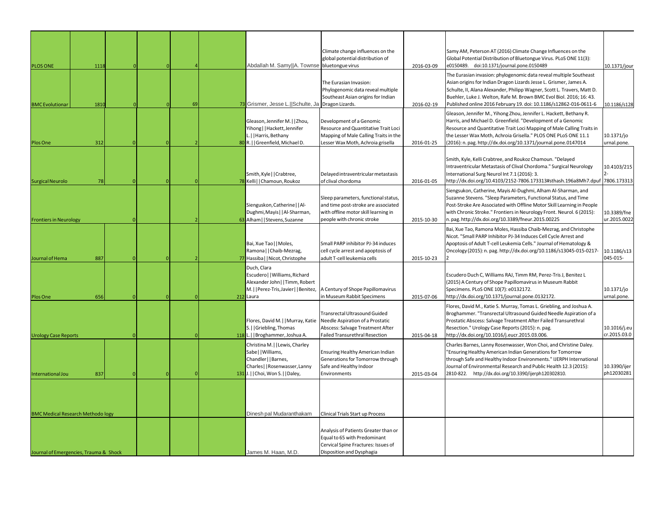| <b>PLOS ONE</b>                          | 1118 |  |    |     | Abdallah M. Samy  A. Townse bluetongue virus                                                                                                | Climate change influences on the<br>global potential distribution of                                                                              | 2016-03-09 | Samy AM, Peterson AT (2016) Climate Change Influences on the<br>Global Potential Distribution of Bluetongue Virus. PLoS ONE 11(3):<br>e0150489. doi:10.1371/journal.pone.0150489                                                                                                                                                                                | 10.1371/jour                 |
|------------------------------------------|------|--|----|-----|---------------------------------------------------------------------------------------------------------------------------------------------|---------------------------------------------------------------------------------------------------------------------------------------------------|------------|-----------------------------------------------------------------------------------------------------------------------------------------------------------------------------------------------------------------------------------------------------------------------------------------------------------------------------------------------------------------|------------------------------|
| <b>BMC</b> Evolutionar                   | 1810 |  | 69 |     | 73 Grismer, Jesse L.  Schulte, Ja Dragon Lizards.                                                                                           | The Eurasian Invasion:<br>Phylogenomic data reveal multiple<br>Southeast Asian origins for Indian                                                 | 2016-02-19 | The Eurasian invasion: phylogenomic data reveal multiple Southeast<br>Asian origins for Indian Dragon Lizards Jesse L. Grismer, James A.<br>Schulte, II, Alana Alexander, Philipp Wagner, Scott L. Travers, Matt D.<br>Buehler, Luke J. Welton, Rafe M. Brown BMC Evol Biol. 2016; 16: 43.<br>Published online 2016 February 19. doi: 10.1186/s12862-016-0611-6 | 10.1186/s128                 |
| Plos One                                 | 312  |  |    |     | Gleason, Jennifer M.     Zhou,<br>Yihong     Hackett, Jennifer<br>L.     Harris, Bethany<br>80 R.   Greenfield, Michael D.                  | Development of a Genomic<br>Resource and Quantitative Trait Loci<br>Mapping of Male Calling Traits in the<br>Lesser Wax Moth, Achroia grisella    | 2016-01-25 | Gleason, Jennifer M., Yihong Zhou, Jennifer L. Hackett, Bethany R.<br>Harris, and Michael D. Greenfield. "Development of a Genomic<br>Resource and Quantitative Trait Loci Mapping of Male Calling Traits in<br>the Lesser Wax Moth, Achroia Grisella." PLOS ONE PLoS ONE 11.1<br>(2016): n. pag. http://dx.doi.org/10.1371/journal.pone.0147014                | 10.1371/jo<br>urnal.pone.    |
| <b>Surgical Neurolo</b>                  | 78   |  |    |     | Smith, Kyle     Crabtree,<br>78 Kelli   Chamoun, Roukoz                                                                                     | Delayed intraventricular metastasis<br>of clival chordoma                                                                                         | 2016-01-05 | Smith, Kyle, Kelli Crabtree, and Roukoz Chamoun. "Delayed<br>Intraventricular Metastasis of Clival Chordoma." Surgical Neurology<br>International Surg Neurol Int 7.1 (2016): 3.<br>http://dx.doi.org/10.4103/2152-7806.173313#sthash.196a8Mh7.dpuf 7806.173313                                                                                                 | 10.4103/215                  |
| <b>Frontiers in Neurology</b>            |      |  |    |     | Sienguskon, Catherine     Al-<br>Dughmi, Mayis     Al-Sharman,<br>63 Alham     Stevens, Suzanne                                             | Sleep parameters, functional status,<br>and time post-stroke are associated<br>with offline motor skill learning in<br>people with chronic stroke | 2015-10-30 | Siengsukon, Catherine, Mayis Al-Dughmi, Alham Al-Sharman, and<br>Suzanne Stevens. "Sleep Parameters, Functional Status, and Time<br>Post-Stroke Are Associated with Offline Motor Skill Learning in People<br>with Chronic Stroke." Frontiers in Neurology Front. Neurol. 6 (2015):<br>n.pag.http://dx.doi.org/10.3389/fneur.2015.00225                         | 10.3389/fne<br>ur.2015.0022  |
| Journal of Hema                          | 887  |  |    |     | Bai, Xue Tao     Moles,<br>Ramona     Chaib-Mezrag,<br>77 Hassiba     Nicot, Christophe                                                     | Small PARP inhibitor PJ-34 induces<br>cell cycle arrest and apoptosis of<br>adult T-cell leukemia cells                                           | 2015-10-23 | Bai, Xue Tao, Ramona Moles, Hassiba Chaib-Mezrag, and Christophe<br>Nicot. "Small PARP Inhibitor PJ-34 Induces Cell Cycle Arrest and<br>Apoptosis of Adult T-cell Leukemia Cells." Journal of Hematology &<br>Oncology (2015): n. pag. http://dx.doi.org/10.1186/s13045-015-0217-                                                                               | 10.1186/s13<br>045-015-      |
| Plos One                                 | 656  |  |    |     | Duch, Clara<br>Escudero     Williams, Richard<br>Alexander John     Timm, Robert<br>212 Laura                                               | M.     Perez-Tris, Javier     Benitez,   A Century of Shope Papillomavirus<br>n Museum Rabbit Specimens                                           | 2015-07-06 | Escudero Duch C, Williams RAJ, Timm RM, Perez-Tris J, Benitez L<br>(2015) A Century of Shope Papillomavirus in Museum Rabbit<br>Specimens. PLoS ONE 10(7): e0132172.<br>http://dx.doi.org/10.1371/journal.pone.0132172.                                                                                                                                         | 10.1371/jo<br>urnal.pone.    |
| <b>Urology Case Reports</b>              |      |  |    |     | Flores, David M.     Murray, Katie   Needle Aspiration of a Prostatic<br>S.     Griebling, Thomas<br>118 L.     Broghammer, Joshua A.       | Transrectal Ultrasound Guided<br>Abscess: Salvage Treatment After<br>Failed Transurethral Resection                                               | 2015-04-18 | Flores, David M., Katie S. Murray, Tomas L. Griebling, and Joshua A.<br>Broghammer. "Transrectal Ultrasound Guided Needle Aspiration of a<br>Prostatic Abscess: Salvage Treatment After Failed Transurethral<br>Resection." Urology Case Reports (2015): n. pag.<br>http://dx.doi.org/10.1016/j.eucr.2015.03.006.                                               | 10.1016/j.eu<br>cr.2015.03.0 |
| nternational Jou                         | 837  |  |    | 131 | Christina M.     Lewis, Charley<br>Sabe  Williams,<br>Chandler     Barnes,<br>Charles  Rosenwasser, Lanny<br>J.     Choi, Won S.     Daley, | Ensuring Healthy American Indian<br>Generations for Tomorrow through<br>Safe and Healthy Indoor<br>Environments                                   | 2015-03-04 | Charles Barnes, Lanny Rosenwasser, Won Choi, and Christine Daley.<br>"Ensuring Healthy American Indian Generations for Tomorrow<br>through Safe and Healthy Indoor Environments." IJERPH International<br>Journal of Environmental Research and Public Health 12.3 (2015):<br>2810-822. http://dx.doi.org/10.3390/ijerph120302810.                              | 10.3390/ijer<br>ph12030281   |
|                                          |      |  |    |     |                                                                                                                                             |                                                                                                                                                   |            |                                                                                                                                                                                                                                                                                                                                                                 |                              |
| <b>BMC Medical Research Methodo logy</b> |      |  |    |     | Dinesh pal Mudaranthakam                                                                                                                    | Clinical Trials Start up Process<br>Analysis of Patients Greater than or<br>Equal to 65 with Predominant<br>Cervical Spine Fractures: Issues of   |            |                                                                                                                                                                                                                                                                                                                                                                 |                              |
| Journal of Emergencies, Trauma & Shock   |      |  |    |     | James M. Haan, M.D.                                                                                                                         | Disposition and Dysphagia                                                                                                                         |            |                                                                                                                                                                                                                                                                                                                                                                 |                              |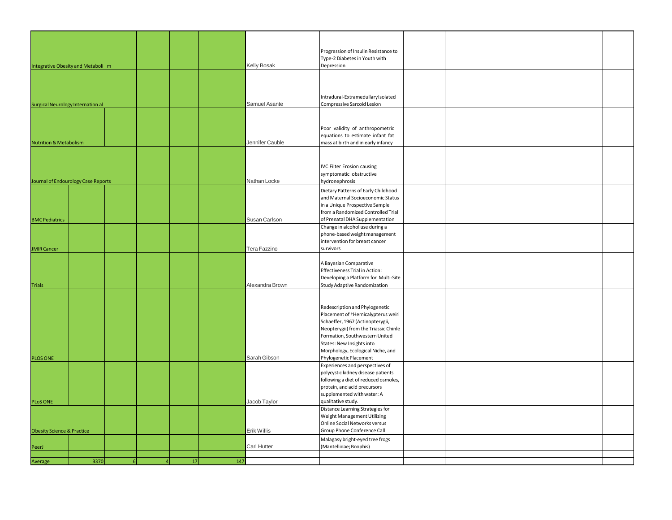| Integrative Obesity and Metaboli m       |      |                |  |           | <b>Kelly Bosak</b> | Progression of Insulin Resistance to<br>Type-2 Diabetes in Youth with<br>Depression                                                                                                                                                                                                         |  |  |
|------------------------------------------|------|----------------|--|-----------|--------------------|---------------------------------------------------------------------------------------------------------------------------------------------------------------------------------------------------------------------------------------------------------------------------------------------|--|--|
|                                          |      |                |  |           |                    |                                                                                                                                                                                                                                                                                             |  |  |
| <b>Surgical Neurology Internation al</b> |      |                |  |           | Samuel Asante      | Intradural-ExtramedullaryIsolated<br>Compressive Sarcoid Lesion                                                                                                                                                                                                                             |  |  |
|                                          |      |                |  |           |                    |                                                                                                                                                                                                                                                                                             |  |  |
| <b>Nutrition &amp; Metabolism</b>        |      |                |  |           | Jennifer Cauble    | Poor validity of anthropometric<br>equations to estimate infant fat<br>mass at birth and in early infancy                                                                                                                                                                                   |  |  |
|                                          |      |                |  |           |                    |                                                                                                                                                                                                                                                                                             |  |  |
| Journal of Endourology Case Reports      |      |                |  |           | Nathan Locke       | <b>IVC Filter Erosion causing</b><br>symptomatic obstructive<br>hydronephrosis                                                                                                                                                                                                              |  |  |
|                                          |      |                |  |           |                    | Dietary Patterns of Early Childhood<br>and Maternal Socioeconomic Status<br>in a Unique Prospective Sample<br>from a Randomized Controlled Trial                                                                                                                                            |  |  |
| <b>BMC Pediatrics</b>                    |      |                |  |           | Susan Carlson      | of Prenatal DHA Supplementation<br>Change in alcohol use during a                                                                                                                                                                                                                           |  |  |
| <b>JMIR Cancer</b>                       |      |                |  |           | Tera Fazzino       | phone-based weight management<br>intervention for breast cancer<br>survivors                                                                                                                                                                                                                |  |  |
| <b>Trials</b>                            |      |                |  |           | Alexandra Brown    | A Bayesian Comparative<br>Effectiveness Trial in Action:<br>Developing a Platform for Multi-Site<br>Study Adaptive Randomization                                                                                                                                                            |  |  |
| <b>PLOS ONE</b>                          |      |                |  |           | Sarah Gibson       | Redescription and Phylogenetic<br>Placement of <sup>+</sup> Hemicalypterus weiri<br>Schaeffer, 1967 (Actinopterygii,<br>Neopterygii) from the Triassic Chinle<br>Formation, Southwestern United<br>States: New Insights into<br>Morphology, Ecological Niche, and<br>Phylogenetic Placement |  |  |
| <b>PLoS ONE</b>                          |      |                |  |           | Jacob Taylor       | Experiences and perspectives of<br>polycystic kidney disease patients<br>following a diet of reduced osmoles,<br>protein, and acid precursors<br>supplemented with water: A<br>qualitative study.                                                                                           |  |  |
|                                          |      |                |  |           |                    | Distance Learning Strategies for<br>Weight Management Utilizing<br>Online Social Networks versus                                                                                                                                                                                            |  |  |
| <b>Obesity Science &amp; Practice</b>    |      |                |  |           | Erik Willis        | Group Phone Conference Call<br>Malagasy bright-eyed tree frogs<br>(Mantellidae; Boophis)                                                                                                                                                                                                    |  |  |
| PeerJ                                    |      |                |  |           | Carl Hutter        |                                                                                                                                                                                                                                                                                             |  |  |
| Average                                  | 3370 | $\overline{6}$ |  | 17<br>147 |                    |                                                                                                                                                                                                                                                                                             |  |  |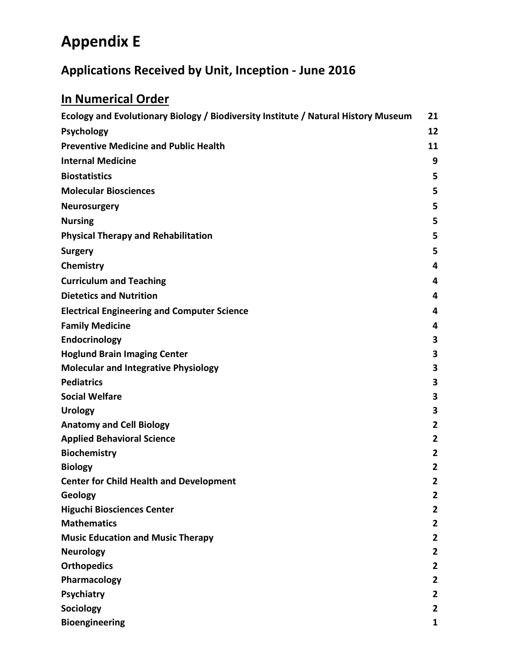# **Appendix E**

## **Applications Received by Unit, Inception - June 2016**

# **In Numerical Order**

| Ecology and Evolutionary Biology / Biodiversity Institute / Natural History Museum | 21             |
|------------------------------------------------------------------------------------|----------------|
| <b>Psychology</b>                                                                  | 12             |
| <b>Preventive Medicine and Public Health</b>                                       | 11             |
| <b>Internal Medicine</b>                                                           | 9              |
| <b>Biostatistics</b>                                                               | 5              |
| <b>Molecular Biosciences</b>                                                       | 5              |
| <b>Neurosurgery</b>                                                                | 5              |
| <b>Nursing</b>                                                                     | 5              |
| <b>Physical Therapy and Rehabilitation</b>                                         | 5              |
| <b>Surgery</b>                                                                     | 5              |
| Chemistry                                                                          | 4              |
| <b>Curriculum and Teaching</b>                                                     | 4              |
| <b>Dietetics and Nutrition</b>                                                     | 4              |
| <b>Electrical Engineering and Computer Science</b>                                 | 4              |
| <b>Family Medicine</b>                                                             | 4              |
| Endocrinology                                                                      | 3              |
| <b>Hoglund Brain Imaging Center</b>                                                | 3              |
| <b>Molecular and Integrative Physiology</b>                                        | 3              |
| <b>Pediatrics</b>                                                                  | 3              |
| <b>Social Welfare</b>                                                              | 3              |
| <b>Urology</b>                                                                     | 3              |
| <b>Anatomy and Cell Biology</b>                                                    | $\overline{2}$ |
| <b>Applied Behavioral Science</b>                                                  | 2              |
| <b>Biochemistry</b>                                                                | $\overline{2}$ |
| <b>Biology</b>                                                                     | $\overline{2}$ |
| <b>Center for Child Health and Development</b>                                     | $\overline{2}$ |
| Geology                                                                            | 2              |
| <b>Higuchi Biosciences Center</b>                                                  | 2              |
| <b>Mathematics</b>                                                                 | 2              |
| <b>Music Education and Music Therapy</b>                                           | $\mathbf{2}$   |
| <b>Neurology</b>                                                                   | $\mathbf{2}$   |
| <b>Orthopedics</b>                                                                 | 2              |
| Pharmacology                                                                       | $\mathbf{2}$   |
| Psychiatry                                                                         | 2              |
| Sociology                                                                          | 2              |
| <b>Bioengineering</b>                                                              | 1              |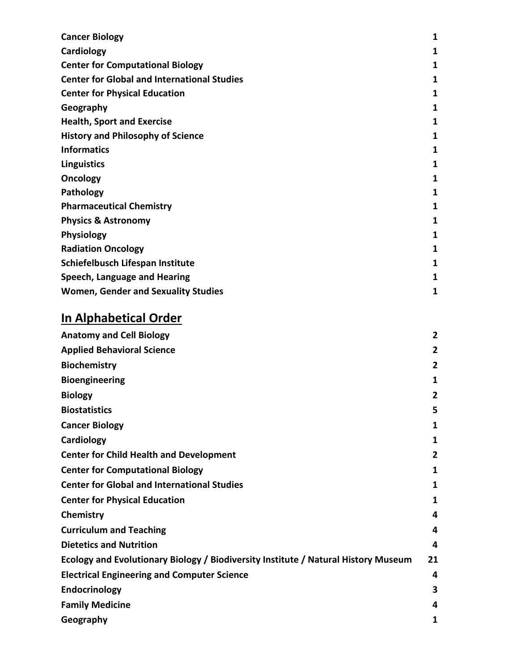| <b>Cancer Biology</b>                              | 1 |
|----------------------------------------------------|---|
| Cardiology                                         | 1 |
| <b>Center for Computational Biology</b>            | 1 |
| <b>Center for Global and International Studies</b> | 1 |
| <b>Center for Physical Education</b>               | 1 |
| Geography                                          | 1 |
| <b>Health, Sport and Exercise</b>                  | 1 |
| <b>History and Philosophy of Science</b>           | 1 |
| <b>Informatics</b>                                 | 1 |
| Linguistics                                        | 1 |
| Oncology                                           | 1 |
| Pathology                                          | 1 |
| <b>Pharmaceutical Chemistry</b>                    | 1 |
| <b>Physics &amp; Astronomy</b>                     | 1 |
| <b>Physiology</b>                                  | 1 |
| <b>Radiation Oncology</b>                          | 1 |
| Schiefelbusch Lifespan Institute                   | 1 |
| Speech, Language and Hearing                       | 1 |
| <b>Women, Gender and Sexuality Studies</b>         | 1 |

## **In Alphabetical Order**

| <b>Anatomy and Cell Biology</b>                                                    | 2  |
|------------------------------------------------------------------------------------|----|
| <b>Applied Behavioral Science</b>                                                  | 2  |
| <b>Biochemistry</b>                                                                | 2  |
| <b>Bioengineering</b>                                                              | 1  |
| <b>Biology</b>                                                                     | 2  |
| <b>Biostatistics</b>                                                               | 5  |
| <b>Cancer Biology</b>                                                              | 1  |
| Cardiology                                                                         | 1  |
| <b>Center for Child Health and Development</b>                                     | 2  |
| <b>Center for Computational Biology</b>                                            | 1  |
| <b>Center for Global and International Studies</b>                                 | 1  |
| <b>Center for Physical Education</b>                                               | 1  |
| Chemistry                                                                          | 4  |
| <b>Curriculum and Teaching</b>                                                     | 4  |
| <b>Dietetics and Nutrition</b>                                                     | 4  |
| Ecology and Evolutionary Biology / Biodiversity Institute / Natural History Museum | 21 |
| <b>Electrical Engineering and Computer Science</b>                                 | 4  |
| Endocrinology                                                                      | 3  |
| <b>Family Medicine</b>                                                             | 4  |
| Geography                                                                          | 1  |